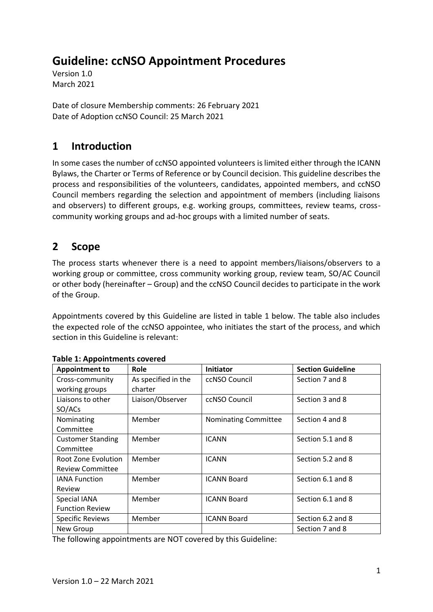# **Guideline: ccNSO Appointment Procedures**

Version 1.0 March 2021

Date of closure Membership comments: 26 February 2021 Date of Adoption ccNSO Council: 25 March 2021

# **1 Introduction**

In some cases the number of ccNSO appointed volunteers is limited either through the ICANN Bylaws, the Charter or Terms of Reference or by Council decision. This guideline describes the process and responsibilities of the volunteers, candidates, appointed members, and ccNSO Council members regarding the selection and appointment of members (including liaisons and observers) to different groups, e.g. working groups, committees, review teams, crosscommunity working groups and ad-hoc groups with a limited number of seats.

# **2 Scope**

The process starts whenever there is a need to appoint members/liaisons/observers to a working group or committee, cross community working group, review team, SO/AC Council or other body (hereinafter – Group) and the ccNSO Council decides to participate in the work of the Group.

Appointments covered by this Guideline are listed in table 1 below. The table also includes the expected role of the ccNSO appointee, who initiates the start of the process, and which section in this Guideline is relevant:

| <b>Appointment to</b>    | Role                | Initiator                   | <b>Section Guideline</b> |
|--------------------------|---------------------|-----------------------------|--------------------------|
| Cross-community          | As specified in the | ccNSO Council               | Section 7 and 8          |
| working groups           | charter             |                             |                          |
| Liaisons to other        | Liaison/Observer    | ccNSO Council               | Section 3 and 8          |
| SO/ACs                   |                     |                             |                          |
| Nominating               | Member              | <b>Nominating Committee</b> | Section 4 and 8          |
| Committee                |                     |                             |                          |
| <b>Customer Standing</b> | Member              | <b>ICANN</b>                | Section 5.1 and 8        |
| Committee                |                     |                             |                          |
| Root Zone Evolution      | Member              | <b>ICANN</b>                | Section 5.2 and 8        |
| <b>Review Committee</b>  |                     |                             |                          |
| <b>IANA Function</b>     | Member              | <b>ICANN Board</b>          | Section 6.1 and 8        |
| Review                   |                     |                             |                          |
| Special IANA             | Member              | <b>ICANN Board</b>          | Section 6.1 and 8        |
| <b>Function Review</b>   |                     |                             |                          |
| <b>Specific Reviews</b>  | Member              | <b>ICANN Board</b>          | Section 6.2 and 8        |
| New Group                |                     |                             | Section 7 and 8          |

#### **Table 1: Appointments covered**

The following appointments are NOT covered by this Guideline: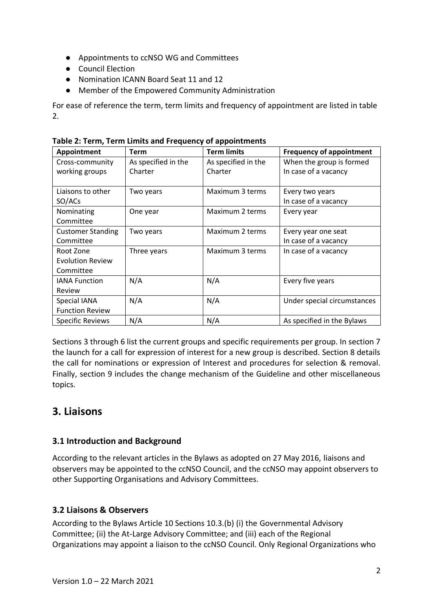- Appointments to ccNSO WG and Committees
- Council Election
- Nomination ICANN Board Seat 11 and 12
- Member of the Empowered Community Administration

For ease of reference the term, term limits and frequency of appointment are listed in table 2.

| Appointment              | <b>Term</b>         | <b>Term limits</b>  | <b>Frequency of appointment</b> |
|--------------------------|---------------------|---------------------|---------------------------------|
| Cross-community          | As specified in the | As specified in the | When the group is formed        |
| working groups           | Charter             | Charter             | In case of a vacancy            |
|                          |                     |                     |                                 |
| Liaisons to other        | Two years           | Maximum 3 terms     | Every two years                 |
| SO/ACs                   |                     |                     | In case of a vacancy            |
| Nominating               | One year            | Maximum 2 terms     | Every year                      |
| Committee                |                     |                     |                                 |
| <b>Customer Standing</b> | Two years           | Maximum 2 terms     | Every year one seat             |
| Committee                |                     |                     | In case of a vacancy            |
| Root Zone                | Three years         | Maximum 3 terms     | In case of a vacancy            |
| <b>Evolution Review</b>  |                     |                     |                                 |
| Committee                |                     |                     |                                 |
| <b>IANA Function</b>     | N/A                 | N/A                 | Every five years                |
| Review                   |                     |                     |                                 |
| Special IANA             | N/A                 | N/A                 | Under special circumstances     |
| <b>Function Review</b>   |                     |                     |                                 |
| <b>Specific Reviews</b>  | N/A                 | N/A                 | As specified in the Bylaws      |

**Table 2: Term, Term Limits and Frequency of appointments**

Sections 3 through 6 list the current groups and specific requirements per group. In section 7 the launch for a call for expression of interest for a new group is described. Section 8 details the call for nominations or expression of Interest and procedures for selection & removal. Finally, section 9 includes the change mechanism of the Guideline and other miscellaneous topics.

# **3. Liaisons**

#### **3.1 Introduction and Background**

According to the relevant articles in the Bylaws as adopted on 27 May 2016, liaisons and observers may be appointed to the ccNSO Council, and the ccNSO may appoint observers to other Supporting Organisations and Advisory Committees.

#### **3.2 Liaisons & Observers**

According to the Bylaws Article 10 Sections 10.3.(b) (i) the Governmental Advisory Committee; (ii) the At-Large Advisory Committee; and (iii) each of the Regional Organizations may appoint a liaison to the ccNSO Council. Only Regional Organizations who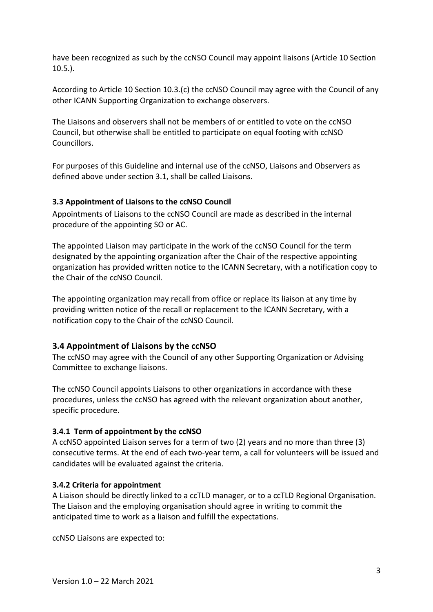have been recognized as such by the ccNSO Council may appoint liaisons (Article 10 Section 10.5.).

According to Article 10 Section 10.3.(c) the ccNSO Council may agree with the Council of any other ICANN Supporting Organization to exchange observers.

The Liaisons and observers shall not be members of or entitled to vote on the ccNSO Council, but otherwise shall be entitled to participate on equal footing with ccNSO Councillors.

For purposes of this Guideline and internal use of the ccNSO, Liaisons and Observers as defined above under section 3.1, shall be called Liaisons.

#### **3.3 Appointment of Liaisons to the ccNSO Council**

Appointments of Liaisons to the ccNSO Council are made as described in the internal procedure of the appointing SO or AC.

The appointed Liaison may participate in the work of the ccNSO Council for the term designated by the appointing organization after the Chair of the respective appointing organization has provided written notice to the ICANN Secretary, with a notification copy to the Chair of the ccNSO Council.

The appointing organization may recall from office or replace its liaison at any time by providing written notice of the recall or replacement to the ICANN Secretary, with a notification copy to the Chair of the ccNSO Council.

#### **3.4 Appointment of Liaisons by the ccNSO**

The ccNSO may agree with the Council of any other Supporting Organization or Advising Committee to exchange liaisons.

The ccNSO Council appoints Liaisons to other organizations in accordance with these procedures, unless the ccNSO has agreed with the relevant organization about another, specific procedure.

#### **3.4.1 Term of appointment by the ccNSO**

A ccNSO appointed Liaison serves for a term of two (2) years and no more than three (3) consecutive terms. At the end of each two-year term, a call for volunteers will be issued and candidates will be evaluated against the criteria.

#### **3.4.2 Criteria for appointment**

A Liaison should be directly linked to a ccTLD manager, or to a ccTLD Regional Organisation. The Liaison and the employing organisation should agree in writing to commit the anticipated time to work as a liaison and fulfill the expectations.

ccNSO Liaisons are expected to: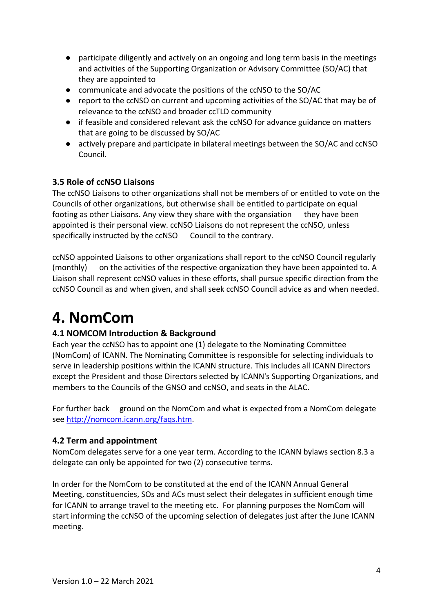- participate diligently and actively on an ongoing and long term basis in the meetings and activities of the Supporting Organization or Advisory Committee (SO/AC) that they are appointed to
- communicate and advocate the positions of the ccNSO to the SO/AC
- report to the ccNSO on current and upcoming activities of the SO/AC that may be of relevance to the ccNSO and broader ccTLD community
- if feasible and considered relevant ask the ccNSO for advance guidance on matters that are going to be discussed by SO/AC
- actively prepare and participate in bilateral meetings between the SO/AC and ccNSO Council.

#### **3.5 Role of ccNSO Liaisons**

The ccNSO Liaisons to other organizations shall not be members of or entitled to vote on the Councils of other organizations, but otherwise shall be entitled to participate on equal footing as other Liaisons. Any view they share with the organsiation they have been appointed is their personal view. ccNSO Liaisons do not represent the ccNSO, unless specifically instructed by the ccNSO Council to the contrary.

ccNSO appointed Liaisons to other organizations shall report to the ccNSO Council regularly (monthly) on the activities of the respective organization they have been appointed to. A Liaison shall represent ccNSO values in these efforts, shall pursue specific direction from the ccNSO Council as and when given, and shall seek ccNSO Council advice as and when needed.

# **4. NomCom**

#### **4.1 NOMCOM Introduction & Background**

Each year the ccNSO has to appoint one (1) delegate to the Nominating Committee (NomCom) of ICANN. The Nominating Committee is responsible for selecting individuals to serve in leadership positions within the ICANN structure. This includes all ICANN Directors except the President and those Directors selected by ICANN's Supporting Organizations, and members to the Councils of the GNSO and ccNSO, and seats in the ALAC.

For further back ground on the NomCom and what is expected from a NomCom delegate see [http://nomcom.icann.org/faqs.htm.](http://nomcom.icann.org/faqs.htm)

#### **4.2 Term and appointment**

NomCom delegates serve for a one year term. According to the ICANN bylaws section 8.3 a delegate can only be appointed for two (2) consecutive terms.

In order for the NomCom to be constituted at the end of the ICANN Annual General Meeting, constituencies, SOs and ACs must select their delegates in sufficient enough time for ICANN to arrange travel to the meeting etc. For planning purposes the NomCom will start informing the ccNSO of the upcoming selection of delegates just after the June ICANN meeting.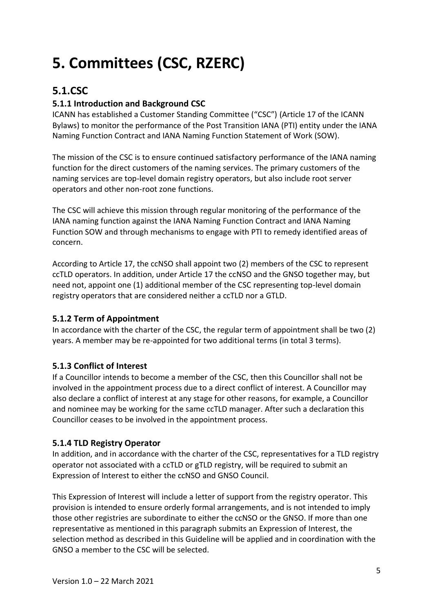# **5. Committees (CSC, RZERC)**

# **5.1.CSC**

## **5.1.1 Introduction and Background CSC**

ICANN has established a Customer Standing Committee ("CSC") (Article 17 of the ICANN Bylaws) to monitor the performance of the Post Transition IANA (PTI) entity under the IANA Naming Function Contract and IANA Naming Function Statement of Work (SOW).

The mission of the CSC is to ensure continued satisfactory performance of the IANA naming function for the direct customers of the naming services. The primary customers of the naming services are top-level domain registry operators, but also include root server operators and other non-root zone functions.

The CSC will achieve this mission through regular monitoring of the performance of the IANA naming function against the IANA Naming Function Contract and IANA Naming Function SOW and through mechanisms to engage with PTI to remedy identified areas of concern.

According to Article 17, the ccNSO shall appoint two (2) members of the CSC to represent ccTLD operators. In addition, under Article 17 the ccNSO and the GNSO together may, but need not, appoint one (1) additional member of the CSC representing top-level domain registry operators that are considered neither a ccTLD nor a GTLD.

#### **5.1.2 Term of Appointment**

In accordance with the charter of the CSC, the regular term of appointment shall be two (2) years. A member may be re-appointed for two additional terms (in total 3 terms).

## **5.1.3 Conflict of Interest**

If a Councillor intends to become a member of the CSC, then this Councillor shall not be involved in the appointment process due to a direct conflict of interest. A Councillor may also declare a conflict of interest at any stage for other reasons, for example, a Councillor and nominee may be working for the same ccTLD manager. After such a declaration this Councillor ceases to be involved in the appointment process.

#### **5.1.4 TLD Registry Operator**

In addition, and in accordance with the charter of the CSC, representatives for a TLD registry operator not associated with a ccTLD or gTLD registry, will be required to submit an Expression of Interest to either the ccNSO and GNSO Council.

This Expression of Interest will include a letter of support from the registry operator. This provision is intended to ensure orderly formal arrangements, and is not intended to imply those other registries are subordinate to either the ccNSO or the GNSO. If more than one representative as mentioned in this paragraph submits an Expression of Interest, the selection method as described in this Guideline will be applied and in coordination with the GNSO a member to the CSC will be selected.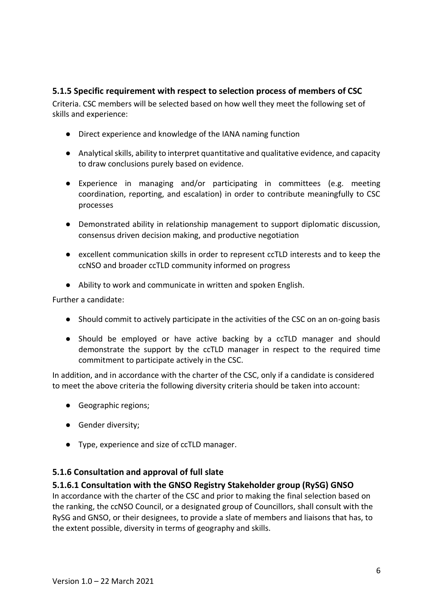#### **5.1.5 Specific requirement with respect to selection process of members of CSC**

Criteria. CSC members will be selected based on how well they meet the following set of skills and experience:

- Direct experience and knowledge of the IANA naming function
- Analytical skills, ability to interpret quantitative and qualitative evidence, and capacity to draw conclusions purely based on evidence.
- Experience in managing and/or participating in committees (e.g. meeting coordination, reporting, and escalation) in order to contribute meaningfully to CSC processes
- Demonstrated ability in relationship management to support diplomatic discussion, consensus driven decision making, and productive negotiation
- excellent communication skills in order to represent ccTLD interests and to keep the ccNSO and broader ccTLD community informed on progress
- Ability to work and communicate in written and spoken English.

Further a candidate:

- Should commit to actively participate in the activities of the CSC on an on-going basis
- Should be employed or have active backing by a ccTLD manager and should demonstrate the support by the ccTLD manager in respect to the required time commitment to participate actively in the CSC.

In addition, and in accordance with the charter of the CSC, only if a candidate is considered to meet the above criteria the following diversity criteria should be taken into account:

- Geographic regions;
- Gender diversity;
- Type, experience and size of ccTLD manager.

#### **5.1.6 Consultation and approval of full slate**

#### **5.1.6.1 Consultation with the GNSO Registry Stakeholder group (RySG) GNSO**

In accordance with the charter of the CSC and prior to making the final selection based on the ranking, the ccNSO Council, or a designated group of Councillors, shall consult with the RySG and GNSO, or their designees, to provide a slate of members and liaisons that has, to the extent possible, diversity in terms of geography and skills.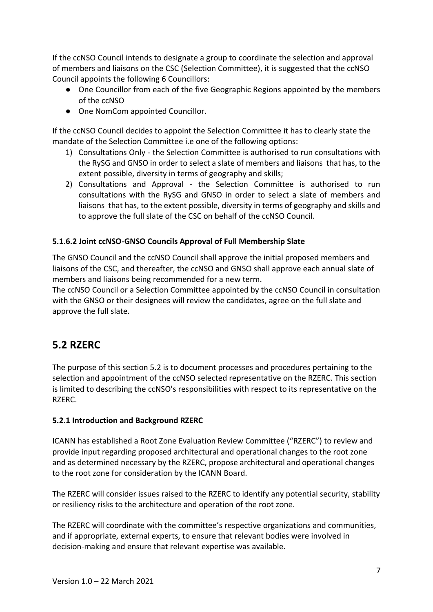If the ccNSO Council intends to designate a group to coordinate the selection and approval of members and liaisons on the CSC (Selection Committee), it is suggested that the ccNSO Council appoints the following 6 Councillors:

- One Councillor from each of the five Geographic Regions appointed by the members of the ccNSO
- One NomCom appointed Councillor.

If the ccNSO Council decides to appoint the Selection Committee it has to clearly state the mandate of the Selection Committee i.e one of the following options:

- 1) Consultations Only the Selection Committee is authorised to run consultations with the RySG and GNSO in order to select a slate of members and liaisons that has, to the extent possible, diversity in terms of geography and skills;
- 2) Consultations and Approval the Selection Committee is authorised to run consultations with the RySG and GNSO in order to select a slate of members and liaisons that has, to the extent possible, diversity in terms of geography and skills and to approve the full slate of the CSC on behalf of the ccNSO Council.

#### **5.1.6.2 Joint ccNSO-GNSO Councils Approval of Full Membership Slate**

The GNSO Council and the ccNSO Council shall approve the initial proposed members and liaisons of the CSC, and thereafter, the ccNSO and GNSO shall approve each annual slate of members and liaisons being recommended for a new term.

The ccNSO Council or a Selection Committee appointed by the ccNSO Council in consultation with the GNSO or their designees will review the candidates, agree on the full slate and approve the full slate.

# **5.2 RZERC**

The purpose of this section 5.2 is to document processes and procedures pertaining to the selection and appointment of the ccNSO selected representative on the RZERC. This section is limited to describing the ccNSO's responsibilities with respect to its representative on the RZERC.

#### **5.2.1 Introduction and Background RZERC**

ICANN has established a Root Zone Evaluation Review Committee ("RZERC") to review and provide input regarding proposed architectural and operational changes to the root zone and as determined necessary by the RZERC, propose architectural and operational changes to the root zone for consideration by the ICANN Board.

The RZERC will consider issues raised to the RZERC to identify any potential security, stability or resiliency risks to the architecture and operation of the root zone.

The RZERC will coordinate with the committee's respective organizations and communities, and if appropriate, external experts, to ensure that relevant bodies were involved in decision-making and ensure that relevant expertise was available.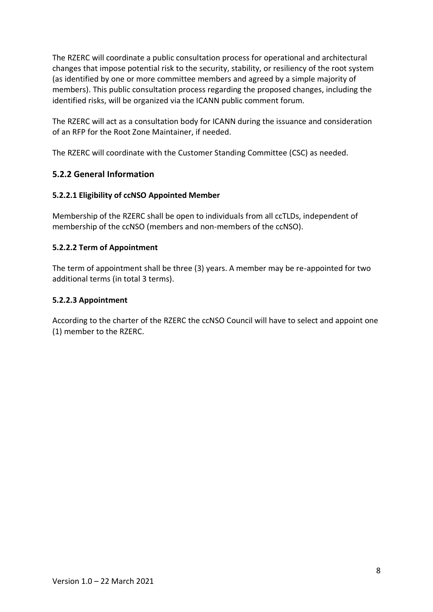The RZERC will coordinate a public consultation process for operational and architectural changes that impose potential risk to the security, stability, or resiliency of the root system (as identified by one or more committee members and agreed by a simple majority of members). This public consultation process regarding the proposed changes, including the identified risks, will be organized via the ICANN public comment forum.

The RZERC will act as a consultation body for ICANN during the issuance and consideration of an RFP for the Root Zone Maintainer, if needed.

The RZERC will coordinate with the Customer Standing Committee (CSC) as needed.

#### **5.2.2 General Information**

#### **5.2.2.1 Eligibility of ccNSO Appointed Member**

Membership of the RZERC shall be open to individuals from all ccTLDs, independent of membership of the ccNSO (members and non-members of the ccNSO).

#### **5.2.2.2 Term of Appointment**

The term of appointment shall be three (3) years. A member may be re-appointed for two additional terms (in total 3 terms).

#### **5.2.2.3 Appointment**

According to the charter of the RZERC the ccNSO Council will have to select and appoint one (1) member to the RZERC.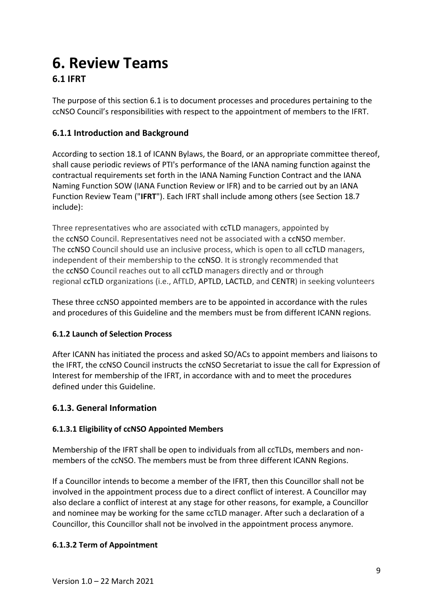# **6. Review Teams**

# **6.1 IFRT**

The purpose of this section 6.1 is to document processes and procedures pertaining to the ccNSO Council's responsibilities with respect to the appointment of members to the IFRT.

## **6.1.1 Introduction and Background**

According to section 18.1 of ICANN Bylaws, the Board, or an appropriate committee thereof, shall cause periodic reviews of PTI's performance of the IANA naming function against the contractual requirements set forth in the IANA Naming Function Contract and the IANA Naming Function SOW (IANA Function Review or IFR) and to be carried out by an IANA Function Review Team ("**IFRT**"). Each IFRT shall include among others (see Section 18.7 include):

Three representatives who are associated with ccTLD managers, appointed by the ccNSO Council. Representatives need not be associated with a ccNSO member. The ccNSO Council should use an inclusive process, which is open to all ccTLD managers, independent of their membership to the ccNSO. It is strongly recommended that the ccNSO Council reaches out to all ccTLD managers directly and or through regional ccTLD organizations (i.e., AfTLD, APTLD, LACTLD, and CENTR) in seeking volunteers

These three ccNSO appointed members are to be appointed in accordance with the rules and procedures of this Guideline and the members must be from different ICANN regions.

## **6.1.2 Launch of Selection Process**

After ICANN has initiated the process and asked SO/ACs to appoint members and liaisons to the IFRT, the ccNSO Council instructs the ccNSO Secretariat to issue the call for Expression of Interest for membership of the IFRT, in accordance with and to meet the procedures defined under this Guideline.

## **6.1.3. General Information**

#### **6.1.3.1 Eligibility of ccNSO Appointed Members**

Membership of the IFRT shall be open to individuals from all ccTLDs, members and nonmembers of the ccNSO. The members must be from three different ICANN Regions.

If a Councillor intends to become a member of the IFRT, then this Councillor shall not be involved in the appointment process due to a direct conflict of interest. A Councillor may also declare a conflict of interest at any stage for other reasons, for example, a Councillor and nominee may be working for the same ccTLD manager. After such a declaration of a Councillor, this Councillor shall not be involved in the appointment process anymore.

#### **6.1.3.2 Term of Appointment**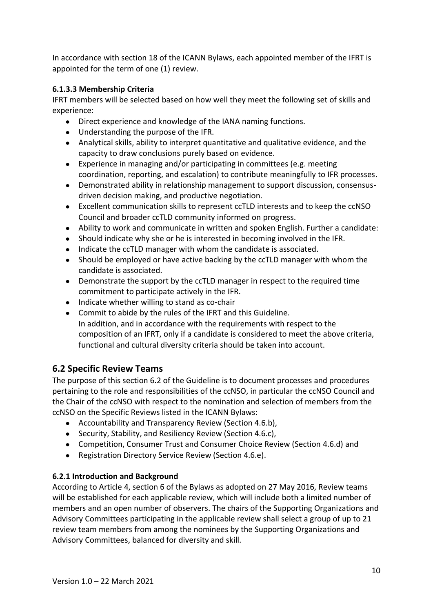In accordance with section 18 of the ICANN Bylaws, each appointed member of the IFRT is appointed for the term of one (1) review.

#### **6.1.3.3 Membership Criteria**

IFRT members will be selected based on how well they meet the following set of skills and experience:

- Direct experience and knowledge of the IANA naming functions.
- Understanding the purpose of the IFR.
- Analytical skills, ability to interpret quantitative and qualitative evidence, and the capacity to draw conclusions purely based on evidence.
- Experience in managing and/or participating in committees (e.g. meeting coordination, reporting, and escalation) to contribute meaningfully to IFR processes.
- Demonstrated ability in relationship management to support discussion, consensusdriven decision making, and productive negotiation.
- Excellent communication skills to represent ccTLD interests and to keep the ccNSO Council and broader ccTLD community informed on progress.
- Ability to work and communicate in written and spoken English. Further a candidate:
- Should indicate why she or he is interested in becoming involved in the IFR.
- Indicate the ccTLD manager with whom the candidate is associated.
- Should be employed or have active backing by the ccTLD manager with whom the candidate is associated.
- Demonstrate the support by the ccTLD manager in respect to the required time commitment to participate actively in the IFR.
- Indicate whether willing to stand as co-chair
- Commit to abide by the rules of the IFRT and this Guideline. In addition, and in accordance with the requirements with respect to the composition of an IFRT, only if a candidate is considered to meet the above criteria, functional and cultural diversity criteria should be taken into account.

#### **6.2 Specific Review Teams**

The purpose of this section 6.2 of the Guideline is to document processes and procedures pertaining to the role and responsibilities of the ccNSO, in particular the ccNSO Council and the Chair of the ccNSO with respect to the nomination and selection of members from the ccNSO on the Specific Reviews listed in the ICANN Bylaws:

- Accountability and Transparency Review (Section 4.6.b),
- Security, Stability, and Resiliency Review (Section 4.6.c),
- Competition, Consumer Trust and Consumer Choice Review (Section 4.6.d) and
- Registration Directory Service Review (Section 4.6.e).

#### **6.2.1 Introduction and Background**

According to Article 4, section 6 of the Bylaws as adopted on 27 May 2016, Review teams will be established for each applicable review, which will include both a limited number of members and an open number of observers. The chairs of the Supporting Organizations and Advisory Committees participating in the applicable review shall select a group of up to 21 review team members from among the nominees by the Supporting Organizations and Advisory Committees, balanced for diversity and skill.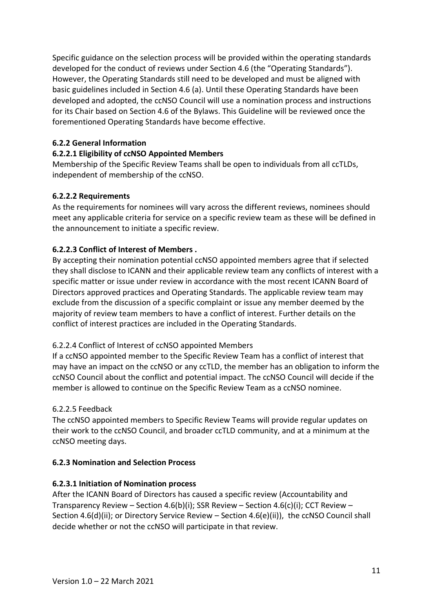Specific guidance on the selection process will be provided within the operating standards developed for the conduct of reviews under Section 4.6 (the "Operating Standards"). However, the Operating Standards still need to be developed and must be aligned with basic guidelines included in Section 4.6 (a). Until these Operating Standards have been developed and adopted, the ccNSO Council will use a nomination process and instructions for its Chair based on Section 4.6 of the Bylaws. This Guideline will be reviewed once the forementioned Operating Standards have become effective.

#### **6.2.2 General Information**

#### **6.2.2.1 Eligibility of ccNSO Appointed Members**

Membership of the Specific Review Teams shall be open to individuals from all ccTLDs, independent of membership of the ccNSO.

#### **6.2.2.2 Requirements**

As the requirements for nominees will vary across the different reviews, nominees should meet any applicable criteria for service on a specific review team as these will be defined in the announcement to initiate a specific review.

#### **6.2.2.3 Conflict of Interest of Members .**

By accepting their nomination potential ccNSO appointed members agree that if selected they shall disclose to ICANN and their applicable review team any conflicts of interest with a specific matter or issue under review in accordance with the most recent ICANN Board of Directors approved practices and Operating Standards. The applicable review team may exclude from the discussion of a specific complaint or issue any member deemed by the majority of review team members to have a conflict of interest. Further details on the conflict of interest practices are included in the Operating Standards.

#### 6.2.2.4 Conflict of Interest of ccNSO appointed Members

If a ccNSO appointed member to the Specific Review Team has a conflict of interest that may have an impact on the ccNSO or any ccTLD, the member has an obligation to inform the ccNSO Council about the conflict and potential impact. The ccNSO Council will decide if the member is allowed to continue on the Specific Review Team as a ccNSO nominee.

#### 6.2.2.5 Feedback

The ccNSO appointed members to Specific Review Teams will provide regular updates on their work to the ccNSO Council, and broader ccTLD community, and at a minimum at the ccNSO meeting days.

#### **6.2.3 Nomination and Selection Process**

#### **6.2.3.1 Initiation of Nomination process**

After the ICANN Board of Directors has caused a specific review (Accountability and Transparency Review – Section 4.6(b)(i); SSR Review – Section 4.6(c)(i); CCT Review – Section 4.6(d)(ii); or Directory Service Review – Section 4.6(e)(ii)), the ccNSO Council shall decide whether or not the ccNSO will participate in that review.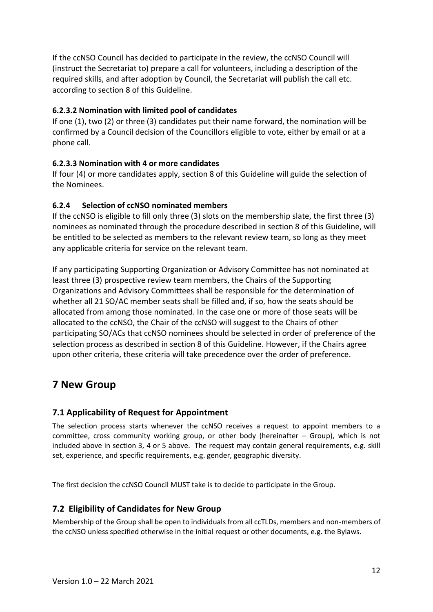If the ccNSO Council has decided to participate in the review, the ccNSO Council will (instruct the Secretariat to) prepare a call for volunteers, including a description of the required skills, and after adoption by Council, the Secretariat will publish the call etc. according to section 8 of this Guideline.

#### **6.2.3.2 Nomination with limited pool of candidates**

If one (1), two (2) or three (3) candidates put their name forward, the nomination will be confirmed by a Council decision of the Councillors eligible to vote, either by email or at a phone call.

#### **6.2.3.3 Nomination with 4 or more candidates**

If four (4) or more candidates apply, section 8 of this Guideline will guide the selection of the Nominees.

#### **6.2.4 Selection of ccNSO nominated members**

If the ccNSO is eligible to fill only three (3) slots on the membership slate, the first three (3) nominees as nominated through the procedure described in section 8 of this Guideline, will be entitled to be selected as members to the relevant review team, so long as they meet any applicable criteria for service on the relevant team.

If any participating Supporting Organization or Advisory Committee has not nominated at least three (3) prospective review team members, the Chairs of the Supporting Organizations and Advisory Committees shall be responsible for the determination of whether all 21 SO/AC member seats shall be filled and, if so, how the seats should be allocated from among those nominated. In the case one or more of those seats will be allocated to the ccNSO, the Chair of the ccNSO will suggest to the Chairs of other participating SO/ACs that ccNSO nominees should be selected in order of preference of the selection process as described in section 8 of this Guideline. However, if the Chairs agree upon other criteria, these criteria will take precedence over the order of preference.

# **7 New Group**

#### **7.1 Applicability of Request for Appointment**

The selection process starts whenever the ccNSO receives a request to appoint members to a committee, cross community working group, or other body (hereinafter – Group), which is not included above in section 3, 4 or 5 above. The request may contain general requirements, e.g. skill set, experience, and specific requirements, e.g. gender, geographic diversity.

The first decision the ccNSO Council MUST take is to decide to participate in the Group.

#### **7.2 Eligibility of Candidates for New Group**

Membership of the Group shall be open to individuals from all ccTLDs, members and non-members of the ccNSO unless specified otherwise in the initial request or other documents, e.g. the Bylaws.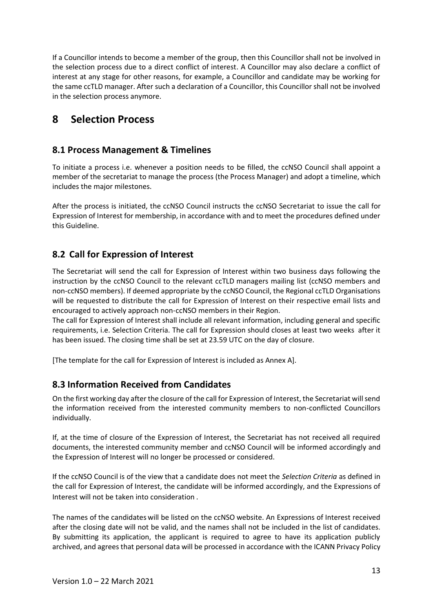If a Councillor intends to become a member of the group, then this Councillor shall not be involved in the selection process due to a direct conflict of interest. A Councillor may also declare a conflict of interest at any stage for other reasons, for example, a Councillor and candidate may be working for the same ccTLD manager. After such a declaration of a Councillor, this Councillor shall not be involved in the selection process anymore.

# **8 Selection Process**

### **8.1 Process Management & Timelines**

To initiate a process i.e. whenever a position needs to be filled, the ccNSO Council shall appoint a member of the secretariat to manage the process (the Process Manager) and adopt a timeline, which includes the major milestones.

After the process is initiated, the ccNSO Council instructs the ccNSO Secretariat to issue the call for Expression of Interest for membership, in accordance with and to meet the procedures defined under this Guideline.

## **8.2 Call for Expression of Interest**

The Secretariat will send the call for Expression of Interest within two business days following the instruction by the ccNSO Council to the relevant ccTLD managers mailing list (ccNSO members and non-ccNSO members). If deemed appropriate by the ccNSO Council, the Regional ccTLD Organisations will be requested to distribute the call for Expression of Interest on their respective email lists and encouraged to actively approach non-ccNSO members in their Region.

The call for Expression of Interest shall include all relevant information, including general and specific requirements, i.e. Selection Criteria. The call for Expression should closes at least two weeks after it has been issued. The closing time shall be set at 23.59 UTC on the day of closure.

[The template for the call for Expression of Interest is included as Annex A].

## **8.3 Information Received from Candidates**

On the first working day after the closure of the call for Expression of Interest, the Secretariat will send the information received from the interested community members to non-conflicted Councillors individually.

If, at the time of closure of the Expression of Interest, the Secretariat has not received all required documents, the interested community member and ccNSO Council will be informed accordingly and the Expression of Interest will no longer be processed or considered.

If the ccNSO Council is of the view that a candidate does not meet the *Selection Criteria* as defined in the call for Expression of Interest, the candidate will be informed accordingly, and the Expressions of Interest will not be taken into consideration .

The names of the candidates will be listed on the ccNSO website. An Expressions of Interest received after the closing date will not be valid, and the names shall not be included in the list of candidates. By submitting its application, the applicant is required to agree to have its application publicly archived, and agrees that personal data will be processed in accordance with the ICANN Privacy Policy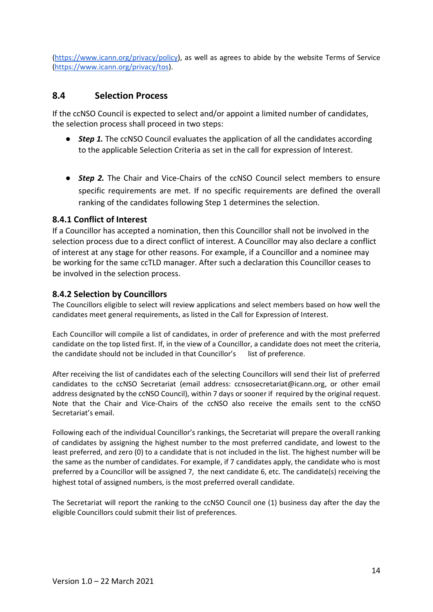[\(https://www.icann.org/privacy/policy\)](https://www.icann.org/privacy/policy), as well as agrees to abide by the website Terms of Service [\(https://www.icann.org/privacy/tos\)](https://www.icann.org/privacy/tos).

#### **8.4 Selection Process**

If the ccNSO Council is expected to select and/or appoint a limited number of candidates, the selection process shall proceed in two steps:

- *Step 1*. The ccNSO Council evaluates the application of all the candidates according to the applicable Selection Criteria as set in the call for expression of Interest.
- *Step 2.* The Chair and Vice-Chairs of the ccNSO Council select members to ensure specific requirements are met. If no specific requirements are defined the overall ranking of the candidates following Step 1 determines the selection.

#### **8.4.1 Conflict of Interest**

If a Councillor has accepted a nomination, then this Councillor shall not be involved in the selection process due to a direct conflict of interest. A Councillor may also declare a conflict of interest at any stage for other reasons. For example, if a Councillor and a nominee may be working for the same ccTLD manager. After such a declaration this Councillor ceases to be involved in the selection process.

#### **8.4.2 Selection by Councillors**

The Councillors eligible to select will review applications and select members based on how well the candidates meet general requirements, as listed in the Call for Expression of Interest.

Each Councillor will compile a list of candidates, in order of preference and with the most preferred candidate on the top listed first. If, in the view of a Councillor, a candidate does not meet the criteria, the candidate should not be included in that Councillor's list of preference.

After receiving the list of candidates each of the selecting Councillors will send their list of preferred candidates to the ccNSO Secretariat (email address: ccnsosecretariat@icann.org, or other email address designated by the ccNSO Council), within 7 days or sooner if required by the original request. Note that the Chair and Vice-Chairs of the ccNSO also receive the emails sent to the ccNSO Secretariat's email.

Following each of the individual Councillor's rankings, the Secretariat will prepare the overall ranking of candidates by assigning the highest number to the most preferred candidate, and lowest to the least preferred, and zero (0) to a candidate that is not included in the list. The highest number will be the same as the number of candidates. For example, if 7 candidates apply, the candidate who is most preferred by a Councillor will be assigned 7, the next candidate 6, etc. The candidate(s) receiving the highest total of assigned numbers, is the most preferred overall candidate.

The Secretariat will report the ranking to the ccNSO Council one (1) business day after the day the eligible Councillors could submit their list of preferences.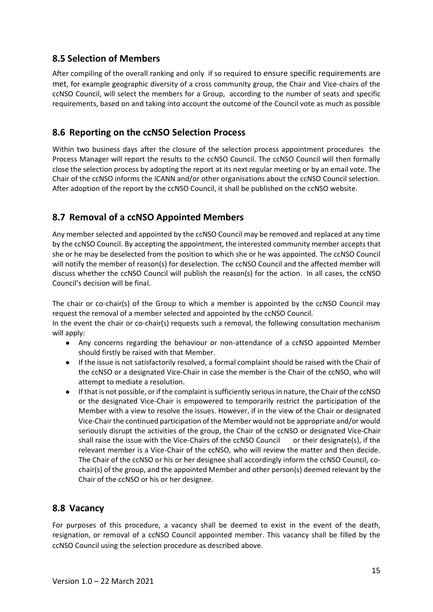### **8.5 Selection of Members**

After compiling of the overall ranking and only if so required to ensure specific requirements are met, for example geographic diversity of a cross community group, the Chair and Vice-chairs of the ccNSO Council, will select the members for a Group, according to the number of seats and specific requirements, based on and taking into account the outcome of the Council vote as much as possible

### **8.6 Reporting on the ccNSO Selection Process**

Within two business days after the closure of the selection process appointment procedures the Process Manager will report the results to the ccNSO Council. The ccNSO Council will then formally close the selection process by adopting the report at its next regular meeting or by an email vote. The Chair of the ccNSO informs the ICANN and/or other organisations about the ccNSO Council selection. After adoption of the report by the ccNSO Council, it shall be published on the ccNSO website.

## **8.7 Removal of a ccNSO Appointed Members**

Any member selected and appointed by the ccNSO Council may be removed and replaced at any time by the ccNSO Council. By accepting the appointment, the interested community member accepts that she or he may be deselected from the position to which she or he was appointed. The ccNSO Council will notify the member of reason(s) for deselection. The ccNSO Council and the affected member will discuss whether the ccNSO Council will publish the reason(s) for the action. In all cases, the ccNSO Council's decision will be final.

The chair or co-chair(s) of the Group to which a member is appointed by the ccNSO Council may request the removal of a member selected and appointed by the ccNSO Council.

In the event the chair or co-chair(s) requests such a removal, the following consultation mechanism will apply:

- Any concerns regarding the behaviour or non-attendance of a ccNSO appointed Member should firstly be raised with that Member.
- If the issue is not satisfactorily resolved, a formal complaint should be raised with the Chair of the ccNSO or a designated Vice-Chair in case the member is the Chair of the ccNSO, who will attempt to mediate a resolution.
- If that is not possible, or if the complaint is sufficiently serious in nature, the Chair of the ccNSO or the designated Vice-Chair is empowered to temporarily restrict the participation of the Member with a view to resolve the issues. However, if in the view of the Chair or designated Vice-Chair the continued participation of the Member would not be appropriate and/or would seriously disrupt the activities of the group, the Chair of the ccNSO or designated Vice-Chair shall raise the issue with the Vice-Chairs of the ccNSO Council or their designate(s), if the relevant member is a Vice-Chair of the ccNSO, who will review the matter and then decide. The Chair of the ccNSO or his or her designee shall accordingly inform the ccNSO Council, cochair(s) of the group, and the appointed Member and other person(s) deemed relevant by the Chair of the ccNSO or his or her designee.

#### **8.8 Vacancy**

For purposes of this procedure, a vacancy shall be deemed to exist in the event of the death, resignation, or removal of a ccNSO Council appointed member. This vacancy shall be filled by the ccNSO Council using the selection procedure as described above.